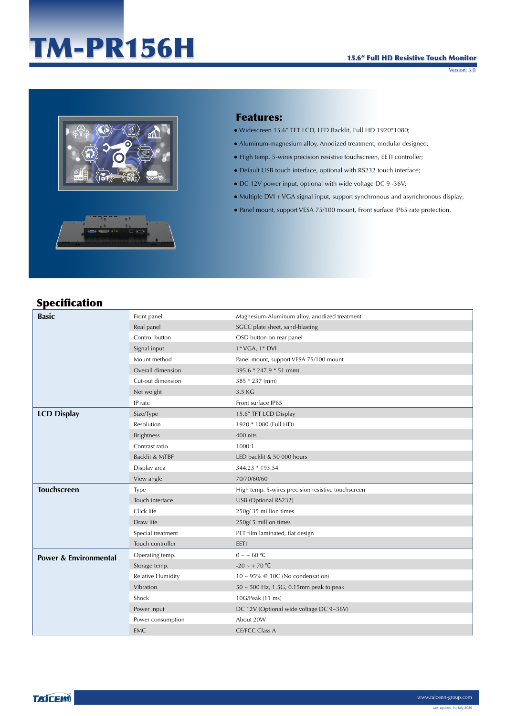# TM-PR156H



#### Features:

- Widescreen 15.6" TFT LCD, LED Backlit, Full HD 1920\*1080;
- Aluminum-magnesium alloy, Anodized treatment, modular designed;
- High temp. 5-wires precision resistive touchscreen, EETI controller;
- Default USB touch interface, optional with RS232 touch interface;
- $\bullet$  DC 12V power input, optional with wide voltage DC 9~36V;
- Multiple DVI + VGA signal input, support synchronous and asynchronous display;
- Panel mount, support VESA 75/100 mount, Front surface IP65 rate protection.

## Specification

| <b>Basic</b>                     | Front panel              | Magnesium-Aluminum alloy, anodized treatment       |  |
|----------------------------------|--------------------------|----------------------------------------------------|--|
|                                  | Real panel               | SGCC plate sheet, sand-blasting                    |  |
|                                  | Control button           | OSD button on rear panel                           |  |
|                                  | Signal input             | 1* VGA, 1* DVI                                     |  |
|                                  | Mount method             | Panel mount, support VESA 75/100 mount             |  |
|                                  | Overall dimension        | 395.6 * 247.9 * 51 (mm)                            |  |
|                                  | Cut-out dimension        | 385 * 237 (mm)                                     |  |
|                                  | Net weight               | 3.5 KG                                             |  |
|                                  | IP rate                  | Front surface IP65                                 |  |
| <b>LCD Display</b>               | Size/Type                | 15.6" TFT LCD Display                              |  |
|                                  | Resolution               | 1920 * 1080 (Full HD)                              |  |
|                                  | <b>Brightness</b>        | 400 nits                                           |  |
|                                  | Contrast ratio           | 1000:1                                             |  |
|                                  | Backlit & MTBF           | LED backlit & 50 000 hours                         |  |
|                                  | Display area             | 344.23 * 193.54                                    |  |
|                                  | View angle               | 70/70/60/60                                        |  |
| <b>Touchscreen</b>               | <b>Type</b>              | High temp. 5-wires precision resistive touchscreen |  |
|                                  | Touch interface          | USB (Optional RS232)                               |  |
|                                  | Click life               | 250g/35 million times                              |  |
|                                  | Draw life                | 250g/5 million times                               |  |
|                                  | Special treatment        | PET film laminated, flat design                    |  |
|                                  | Touch controller         | EETI                                               |  |
| <b>Power &amp; Environmental</b> | Operating temp.          | $0 \sim +60$ °C                                    |  |
|                                  | Storage temp.            | $-20 \sim +70$ °C                                  |  |
|                                  | <b>Relative Humidity</b> | $10 \sim 95\%$ @ 10C (No condensation)             |  |
|                                  | Vibration                | $50 \sim 500$ Hz, 1.5G, 0.15mm peak to peak        |  |
|                                  | Shock                    | 10G/Peak (11 ms)                                   |  |
|                                  | Power input              | DC 12V (Optional wide voltage DC 9~36V)            |  |
|                                  | Power consumption        | About 20W                                          |  |
|                                  | <b>EMC</b>               | <b>CE/FCC Class A</b>                              |  |